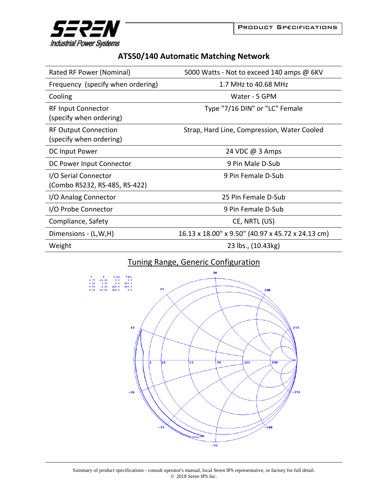



## **ATS50/140 Automatic Matching Network**

| Rated RF Power (Nominal)                               | 5000 Watts - Not to exceed 140 amps @ 6KV         |
|--------------------------------------------------------|---------------------------------------------------|
| Frequency (specify when ordering)                      | 1.7 MHz to 40.68 MHz                              |
| Cooling                                                | Water - 5 GPM                                     |
| <b>RF Input Connector</b><br>(specify when ordering)   | Type "7/16 DIN" or "LC" Female                    |
| <b>RF Output Connection</b><br>(specify when ordering) | Strap, Hard Line, Compression, Water Cooled       |
| DC Input Power                                         | 24 VDC @ 3 Amps                                   |
| DC Power Input Connector                               | 9 Pin Male D-Sub                                  |
| I/O Serial Connector<br>(Combo RS232, RS-485, RS-422)  | 9 Pin Female D-Sub                                |
| I/O Analog Connector                                   | 25 Pin Female D-Sub                               |
| I/O Probe Connector                                    | 9 Pin Female D-Sub                                |
| Compliance, Safety                                     | CE, NRTL (US)                                     |
| Dimensions - (L,W,H)                                   | 16.13 x 18.00" x 9.50" (40.97 x 45.72 x 24.13 cm) |
| Weight                                                 | 23 lbs., (10.43kg)                                |

## Tuning Range, Generic Configuration